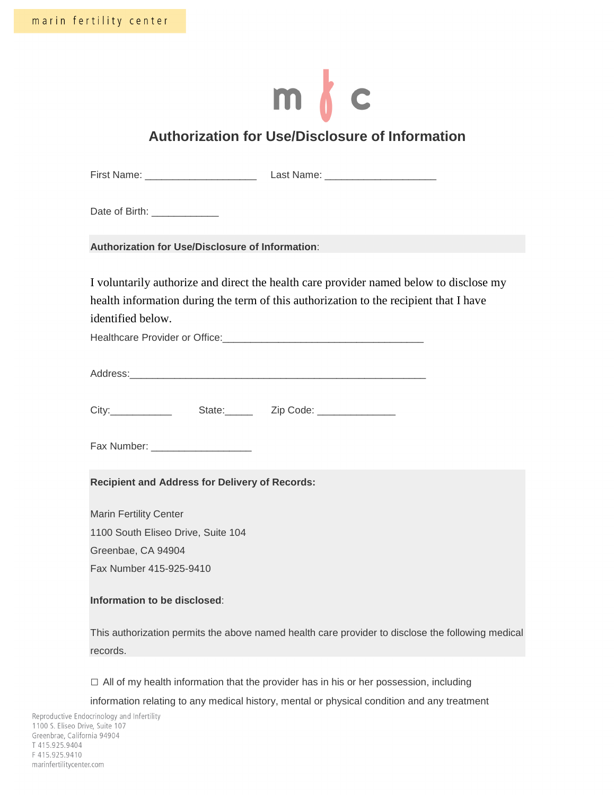# $m \nmid c$

# **Authorization for Use/Disclosure of Information**

| Date of Birth: _____________                            |                                                                                                   |
|---------------------------------------------------------|---------------------------------------------------------------------------------------------------|
| <b>Authorization for Use/Disclosure of Information:</b> |                                                                                                   |
|                                                         | I voluntarily authorize and direct the health care provider named below to disclose my            |
|                                                         | health information during the term of this authorization to the recipient that I have             |
| identified below.                                       |                                                                                                   |
|                                                         |                                                                                                   |
|                                                         |                                                                                                   |
|                                                         |                                                                                                   |
|                                                         |                                                                                                   |
|                                                         |                                                                                                   |
|                                                         |                                                                                                   |
| Fax Number: ______________________                      |                                                                                                   |
|                                                         |                                                                                                   |
| <b>Recipient and Address for Delivery of Records:</b>   |                                                                                                   |
| <b>Marin Fertility Center</b>                           |                                                                                                   |
| 1100 South Eliseo Drive, Suite 104                      |                                                                                                   |
| Greenbae, CA 94904                                      |                                                                                                   |
| Fax Number 415-925-9410                                 |                                                                                                   |
|                                                         |                                                                                                   |
| Information to be disclosed:                            |                                                                                                   |
|                                                         | This authorization permits the above named health care provider to disclose the following medical |
| records.                                                |                                                                                                   |
|                                                         |                                                                                                   |
|                                                         | $\Box$ All of my health information that the provider has in his or her possession, including     |
|                                                         | information relating to any medical history, mental or physical condition and any treatment       |
| ocrinology and Infertility<br>e, Suite 107              |                                                                                                   |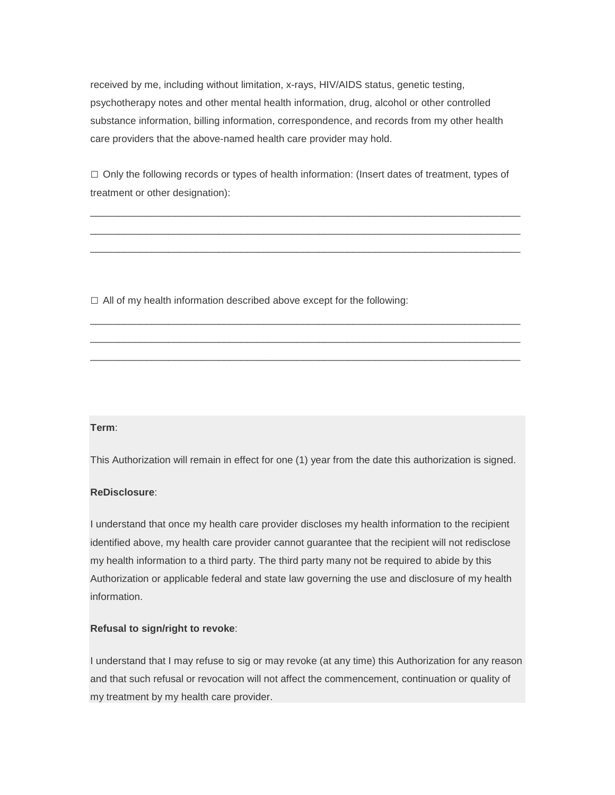received by me, including without limitation, x-rays, HIV/AIDS status, genetic testing, psychotherapy notes and other mental health information, drug, alcohol or other controlled substance information, billing information, correspondence, and records from my other health care providers that the above-named health care provider may hold.

 $\Box$  Only the following records or types of health information: (Insert dates of treatment, types of treatment or other designation):

\_\_\_\_\_\_\_\_\_\_\_\_\_\_\_\_\_\_\_\_\_\_\_\_\_\_\_\_\_\_\_\_\_\_\_\_\_\_\_\_\_\_\_\_\_\_\_\_\_\_\_\_\_\_\_\_\_\_\_\_\_\_\_\_\_\_\_\_\_\_\_\_\_\_\_\_\_ \_\_\_\_\_\_\_\_\_\_\_\_\_\_\_\_\_\_\_\_\_\_\_\_\_\_\_\_\_\_\_\_\_\_\_\_\_\_\_\_\_\_\_\_\_\_\_\_\_\_\_\_\_\_\_\_\_\_\_\_\_\_\_\_\_\_\_\_\_\_\_\_\_\_\_\_\_ \_\_\_\_\_\_\_\_\_\_\_\_\_\_\_\_\_\_\_\_\_\_\_\_\_\_\_\_\_\_\_\_\_\_\_\_\_\_\_\_\_\_\_\_\_\_\_\_\_\_\_\_\_\_\_\_\_\_\_\_\_\_\_\_\_\_\_\_\_\_\_\_\_\_\_\_\_

\_\_\_\_\_\_\_\_\_\_\_\_\_\_\_\_\_\_\_\_\_\_\_\_\_\_\_\_\_\_\_\_\_\_\_\_\_\_\_\_\_\_\_\_\_\_\_\_\_\_\_\_\_\_\_\_\_\_\_\_\_\_\_\_\_\_\_\_\_\_\_\_\_\_\_\_\_ \_\_\_\_\_\_\_\_\_\_\_\_\_\_\_\_\_\_\_\_\_\_\_\_\_\_\_\_\_\_\_\_\_\_\_\_\_\_\_\_\_\_\_\_\_\_\_\_\_\_\_\_\_\_\_\_\_\_\_\_\_\_\_\_\_\_\_\_\_\_\_\_\_\_\_\_\_ \_\_\_\_\_\_\_\_\_\_\_\_\_\_\_\_\_\_\_\_\_\_\_\_\_\_\_\_\_\_\_\_\_\_\_\_\_\_\_\_\_\_\_\_\_\_\_\_\_\_\_\_\_\_\_\_\_\_\_\_\_\_\_\_\_\_\_\_\_\_\_\_\_\_\_\_\_

 $\Box$  All of my health information described above except for the following:

# **Term**:

This Authorization will remain in effect for one (1) year from the date this authorization is signed.

## **ReDisclosure**:

I understand that once my health care provider discloses my health information to the recipient identified above, my health care provider cannot guarantee that the recipient will not redisclose my health information to a third party. The third party many not be required to abide by this Authorization or applicable federal and state law governing the use and disclosure of my health information.

# **Refusal to sign/right to revoke**:

I understand that I may refuse to sig or may revoke (at any time) this Authorization for any reason and that such refusal or revocation will not affect the commencement, continuation or quality of my treatment by my health care provider.